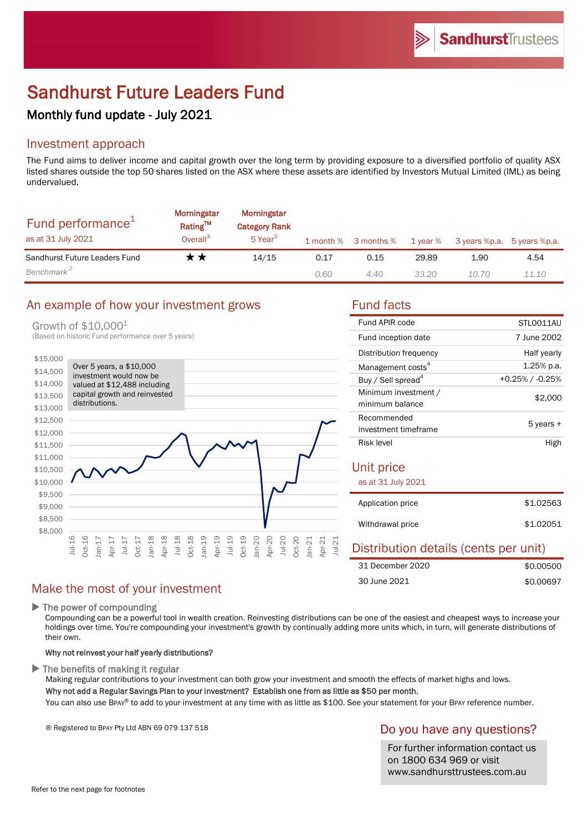# Sandhurst Future Leaders Fund

## Monthly fund update - July 2021

### Investment approach

The Fund aims to deliver income and capital growth over the long term by providing exposure to a diversified portfolio of quality ASX listed shares outside the top 50 shares listed on the ASX where these assets are identified by Investors Mutual Limited (IML) as being undervalued.

| Fund performance <sup>1</sup><br>as at 31 July 2021 | <b>Morningstar</b><br><b>Rating™</b><br>Overall <sup>3</sup> | Morningstar<br><b>Category Rank</b><br>$5$ Year <sup>3</sup> |      | 1 month % 3 months % | 1 year % | 3 years %p.a. 5 years %p.a. |       |
|-----------------------------------------------------|--------------------------------------------------------------|--------------------------------------------------------------|------|----------------------|----------|-----------------------------|-------|
| Sandhurst Future Leaders Fund                       | r ★                                                          | 14/15                                                        | 0.17 | 0.15                 | 29.89    | 1.90                        | 4.54  |
| Benchmark <sup>2</sup>                              |                                                              |                                                              | 0.60 | 4.40                 | 33.20    | 10.70                       | 11.10 |

#### An example of how your investment grows Fund facts

Growth of \$10,0001

(Based on historic Fund performance over 5 years)



| Fund APIR code                 | STI 0011AU         |
|--------------------------------|--------------------|
| Fund inception date            | 7 June 2002        |
| Distribution frequency         | Half yearly        |
| Management costs <sup>4</sup>  | $1.25%$ p.a.       |
| Buy / Sell spread <sup>4</sup> | $+0.25\%$ / -0.25% |
| Minimum investment /           | \$2,000            |
| minimum balance                |                    |
| Recommended                    | 5 years +          |
| investment timeframe           |                    |
| <b>Risk level</b>              | High               |

## Unit price

| as at 31 July 2021 |           |
|--------------------|-----------|
| Application price  | \$1,02563 |
| Withdrawal price   | \$1,02051 |

## Distribution details (cents per unit)

| 31 December 2020 | \$0.00500 |
|------------------|-----------|
| 30 June 2021     | \$0.00697 |

## Make the most of your investment

 $\blacktriangleright$  The power of compounding

Compounding can be a powerful tool in wealth creation. Reinvesting distributions can be one of the easiest and cheapest ways to increase your holdings over time. You're compounding your investment's growth by continually adding more units which, in turn, will generate distributions of their own.

#### Why not reinvest your half yearly distributions?

 $\blacktriangleright$  The benefits of making it regular

Making regular contributions to your investment can both grow your investment and smooth the effects of market highs and lows. Why not add a Regular Savings Plan to your investment? Establish one from as little as \$50 per month.

You can also use BPAY® to add to your investment at any time with as little as \$100. See your statement for your BPAY reference number.

® Registered to BPAY Pty Ltd ABN 69 079 137 518

#### Do you have any questions?

For further information contact us on 1800 634 969 or visit www.sandhursttrustees.com.au